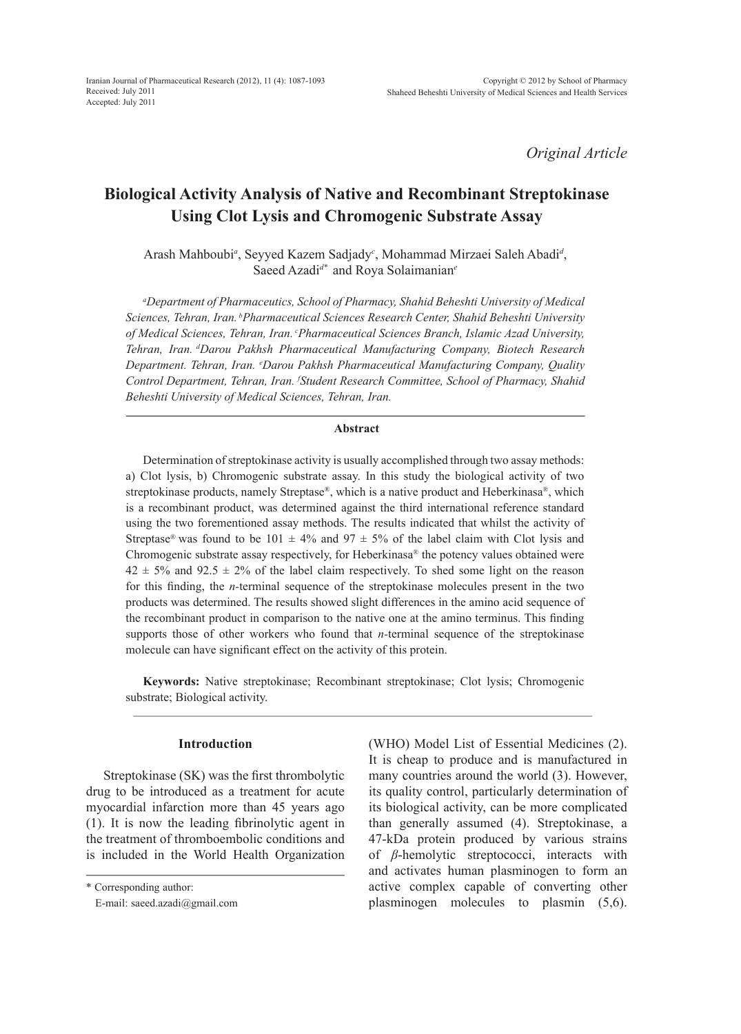*Original Article*

# **Biological Activity Analysis of Native and Recombinant Streptokinase Using Clot Lysis and Chromogenic Substrate Assay**

Arash Mahboubi*<sup>a</sup>* , Seyyed Kazem Sadjady*<sup>c</sup>* , Mohammad Mirzaei Saleh Abadi*<sup>d</sup>* , Saeed Azadi*d\** and Roya Solaimanian*<sup>e</sup>*

*a Department of Pharmaceutics, School of Pharmacy, Shahid Beheshti University of Medical Sciences, Tehran, Iran. bPharmaceutical Sciences Research Center, Shahid Beheshti University of Medical Sciences, Tehran, Iran. cPharmaceutical Sciences Branch, Islamic Azad University, Tehran, Iran. dDarou Pakhsh Pharmaceutical Manufacturing Company, Biotech Research*  Department. Tehran, Iran. <sup>e</sup>Darou Pakhsh Pharmaceutical Manufacturing Company, Quality *Control Department, Tehran, Iran. f Student Research Committee, School of Pharmacy, Shahid Beheshti University of Medical Sciences, Tehran, Iran.*

# **Abstract**

Determination of streptokinase activity is usually accomplished through two assay methods: a) Clot lysis, b) Chromogenic substrate assay. In this study the biological activity of two streptokinase products, namely Streptase®, which is a native product and Heberkinasa®, which is a recombinant product, was determined against the third international reference standard using the two forementioned assay methods. The results indicated that whilst the activity of Streptase<sup>®</sup> was found to be 101  $\pm$  4% and 97  $\pm$  5% of the label claim with Clot lysis and Chromogenic substrate assay respectively, for Heberkinasa® the potency values obtained were  $42 \pm 5\%$  and  $92.5 \pm 2\%$  of the label claim respectively. To shed some light on the reason for this finding, the *n-*terminal sequence of the streptokinase molecules present in the two products was determined. The results showed slight differences in the amino acid sequence of the recombinant product in comparison to the native one at the amino terminus. This finding supports those of other workers who found that *n-*terminal sequence of the streptokinase molecule can have significant effect on the activity of this protein.

**Keywords:** Native streptokinase; Recombinant streptokinase; Clot lysis; Chromogenic substrate; Biological activity.

## **Introduction**

Streptokinase (SK) was the first thrombolytic drug to be introduced as a treatment for acute myocardial infarction more than 45 years ago (1). It is now the leading fibrinolytic agent in the treatment of thromboembolic conditions and is included in the World Health Organization (WHO) Model List of Essential Medicines (2). It is cheap to produce and is manufactured in many countries around the world (3). However, its quality control, particularly determination of its biological activity, can be more complicated than generally assumed (4). Streptokinase, a 47-kDa protein produced by various strains of *β*-hemolytic streptococci, interacts with and activates human plasminogen to form an active complex capable of converting other plasminogen molecules to plasmin (5,6).

<sup>\*</sup> Corresponding author:

E-mail: saeed.azadi@gmail.com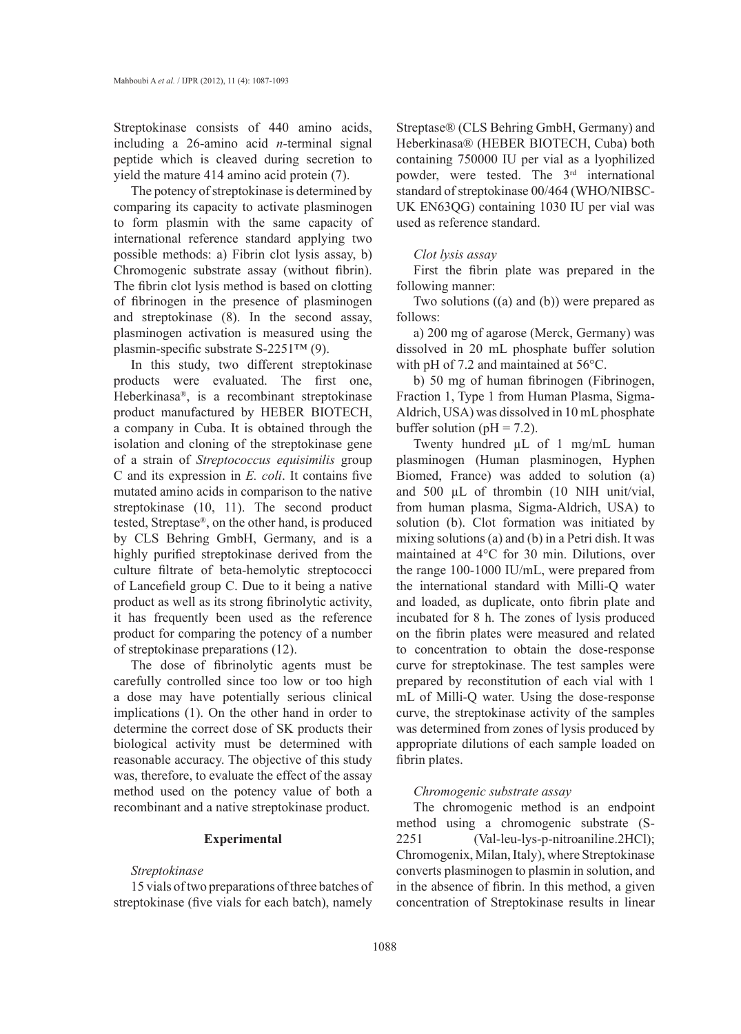Streptokinase consists of 440 amino acids, including a 26-amino acid *n-*terminal signal peptide which is cleaved during secretion to yield the mature 414 amino acid protein (7).

The potency of streptokinase is determined by comparing its capacity to activate plasminogen to form plasmin with the same capacity of international reference standard applying two possible methods: a) Fibrin clot lysis assay, b) Chromogenic substrate assay (without fibrin). The fibrin clot lysis method is based on clotting of fibrinogen in the presence of plasminogen and streptokinase (8). In the second assay, plasminogen activation is measured using the plasmin-specific substrate S-2251™ (9).

In this study, two different streptokinase products were evaluated. The first one, Heberkinasa®, is a recombinant streptokinase product manufactured by HEBER BIOTECH, a company in Cuba. It is obtained through the isolation and cloning of the streptokinase gene of a strain of *Streptococcus equisimilis* group C and its expression in *E. coli*. It contains five mutated amino acids in comparison to the native streptokinase (10, 11). The second product tested, Streptase®, on the other hand, is produced by CLS Behring GmbH, Germany, and is a highly purified streptokinase derived from the culture filtrate of beta-hemolytic streptococci of Lancefield group C. Due to it being a native product as well as its strong fibrinolytic activity, it has frequently been used as the reference product for comparing the potency of a number of streptokinase preparations (12).

The dose of fibrinolytic agents must be carefully controlled since too low or too high a dose may have potentially serious clinical implications (1). On the other hand in order to determine the correct dose of SK products their biological activity must be determined with reasonable accuracy. The objective of this study was, therefore, to evaluate the effect of the assay method used on the potency value of both a recombinant and a native streptokinase product.

# **Experimental**

#### *Streptokinase*

15 vials of two preparations of three batches of streptokinase (five vials for each batch), namely

Streptase® (CLS Behring GmbH, Germany) and Heberkinasa® (HEBER BIOTECH, Cuba) both containing 750000 IU per vial as a lyophilized powder, were tested. The 3rd international standard of streptokinase 00/464 (WHO/NIBSC-UK EN63QG) containing 1030 IU per vial was used as reference standard.

#### *Clot lysis assay*

First the fibrin plate was prepared in the following manner:

Two solutions ((a) and (b)) were prepared as follows:

a) 200 mg of agarose (Merck, Germany) was dissolved in 20 mL phosphate buffer solution with pH of 7.2 and maintained at 56°C.

b) 50 mg of human fibrinogen (Fibrinogen, Fraction 1, Type 1 from Human Plasma, Sigma-Aldrich, USA) was dissolved in 10 mL phosphate buffer solution ( $pH = 7.2$ ).

Twenty hundred  $\mu$ L of 1 mg/mL human plasminogen (Human plasminogen, Hyphen Biomed, France) was added to solution (a) and 500 µL of thrombin (10 NIH unit/vial, from human plasma, Sigma-Aldrich, USA) to solution (b). Clot formation was initiated by mixing solutions (a) and (b) in a Petri dish. It was maintained at 4°C for 30 min. Dilutions, over the range 100-1000 IU/mL, were prepared from the international standard with Milli-Q water and loaded, as duplicate, onto fibrin plate and incubated for 8 h. The zones of lysis produced on the fibrin plates were measured and related to concentration to obtain the dose-response curve for streptokinase. The test samples were prepared by reconstitution of each vial with 1 mL of Milli-Q water. Using the dose-response curve, the streptokinase activity of the samples was determined from zones of lysis produced by appropriate dilutions of each sample loaded on fibrin plates.

#### *Chromogenic substrate assay*

The chromogenic method is an endpoint method using a chromogenic substrate (S-2251 (Val-leu-lys-p-nitroaniline.2HCl); Chromogenix, Milan, Italy), where Streptokinase converts plasminogen to plasmin in solution, and in the absence of fibrin. In this method, a given concentration of Streptokinase results in linear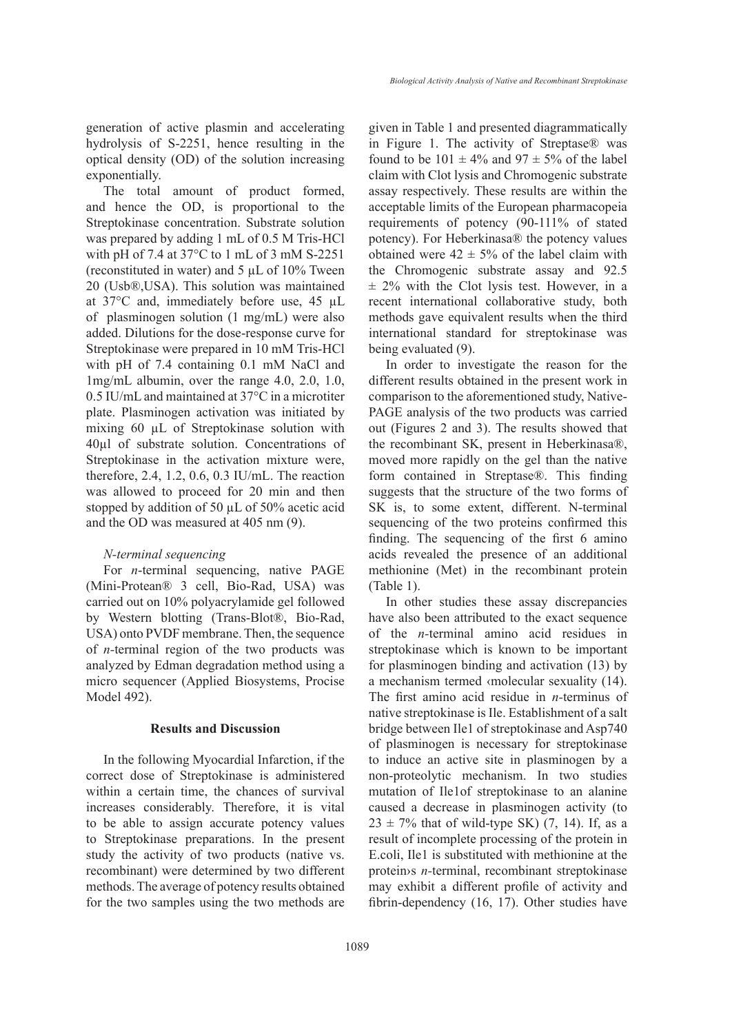generation of active plasmin and accelerating hydrolysis of S-2251, hence resulting in the optical density (OD) of the solution increasing exponentially.

The total amount of product formed, and hence the OD, is proportional to the Streptokinase concentration. Substrate solution was prepared by adding 1 mL of 0.5 M Tris-HCl with pH of 7.4 at 37°C to 1 mL of 3 mM S-2251 (reconstituted in water) and  $5 \mu L$  of 10% Tween 20 (Usb®,USA). This solution was maintained at 37°C and, immediately before use, 45 µL of plasminogen solution (1 mg/mL) were also added. Dilutions for the dose-response curve for Streptokinase were prepared in 10 mM Tris-HCl with pH of 7.4 containing 0.1 mM NaCl and 1mg/mL albumin, over the range 4.0, 2.0, 1.0, 0.5 IU/mL and maintained at 37°C in a microtiter plate. Plasminogen activation was initiated by mixing 60 µL of Streptokinase solution with 40µl of substrate solution. Concentrations of Streptokinase in the activation mixture were, therefore, 2.4, 1.2, 0.6, 0.3 IU/mL. The reaction was allowed to proceed for 20 min and then stopped by addition of 50 µL of 50% acetic acid and the OD was measured at 405 nm (9).

### *N-terminal sequencing*

For *n*-terminal sequencing, native PAGE (Mini-Protean® 3 cell, Bio-Rad, USA) was carried out on 10% polyacrylamide gel followed by Western blotting (Trans-Blot®, Bio-Rad, USA) onto PVDF membrane. Then, the sequence of *n-*terminal region of the two products was analyzed by Edman degradation method using a micro sequencer (Applied Biosystems, Procise Model 492).

### **Results and Discussion**

In the following Myocardial Infarction, if the correct dose of Streptokinase is administered within a certain time, the chances of survival increases considerably. Therefore, it is vital to be able to assign accurate potency values to Streptokinase preparations. In the present study the activity of two products (native vs. recombinant) were determined by two different methods. The average of potency results obtained for the two samples using the two methods are given in Table 1 and presented diagrammatically in Figure 1. The activity of Streptase® was found to be  $101 \pm 4\%$  and  $97 \pm 5\%$  of the label claim with Clot lysis and Chromogenic substrate assay respectively. These results are within the acceptable limits of the European pharmacopeia requirements of potency (90-111% of stated potency). For Heberkinasa® the potency values obtained were  $42 \pm 5\%$  of the label claim with the Chromogenic substrate assay and 92.5  $\pm$  2% with the Clot lysis test. However, in a recent international collaborative study, both methods gave equivalent results when the third international standard for streptokinase was being evaluated (9).

In order to investigate the reason for the different results obtained in the present work in comparison to the aforementioned study, Native-PAGE analysis of the two products was carried out (Figures 2 and 3). The results showed that the recombinant SK, present in Heberkinasa®, moved more rapidly on the gel than the native form contained in Streptase®. This finding suggests that the structure of the two forms of SK is, to some extent, different. N-terminal sequencing of the two proteins confirmed this finding. The sequencing of the first 6 amino acids revealed the presence of an additional methionine (Met) in the recombinant protein (Table 1).

In other studies these assay discrepancies have also been attributed to the exact sequence of the *n-*terminal amino acid residues in streptokinase which is known to be important for plasminogen binding and activation (13) by a mechanism termed ‹molecular sexuality (14). The first amino acid residue in *n-*terminus of native streptokinase is Ile. Establishment of a salt bridge between Ile1 of streptokinase and Asp740 of plasminogen is necessary for streptokinase to induce an active site in plasminogen by a non-proteolytic mechanism. In two studies mutation of Ile1of streptokinase to an alanine caused a decrease in plasminogen activity (to  $23 \pm 7\%$  that of wild-type SK) (7, 14). If, as a result of incomplete processing of the protein in E.coli, Ile1 is substituted with methionine at the protein›s *n-*terminal, recombinant streptokinase may exhibit a different profile of activity and fibrin-dependency (16, 17). Other studies have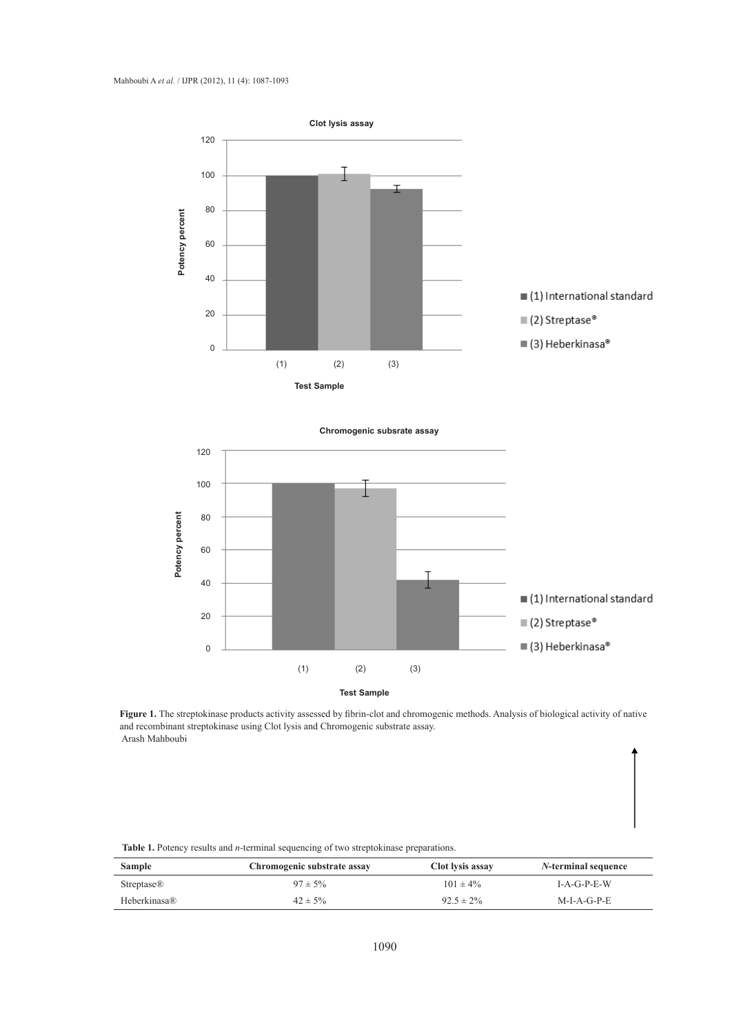



Figure 1. The streptokinase products activity assessed by fibrin-clot and chromogenic methods. Analysis of biological activity of native and recombinant streptokinase using Clot lysis and Chromogenic substrate assay. Arash Mahboubi

| <b>Table 1.</b> Potency results and <i>n</i> -terminal sequencing of two streptokinase preparations. |  |  |
|------------------------------------------------------------------------------------------------------|--|--|
|                                                                                                      |  |  |

| <b>Sample</b>          | Chromogenic substrate assay | Clot lysis assay | <i>N</i> -terminal sequence |
|------------------------|-----------------------------|------------------|-----------------------------|
| Streptase <sup>®</sup> | $97 \pm 5\%$                | $101 \pm 4\%$    | $I-A-G-P-E-W$               |
| Heberkinasa®           | $42 \pm 5\%$                | $92.5 \pm 2\%$   | $M-I-A-G-P-E$               |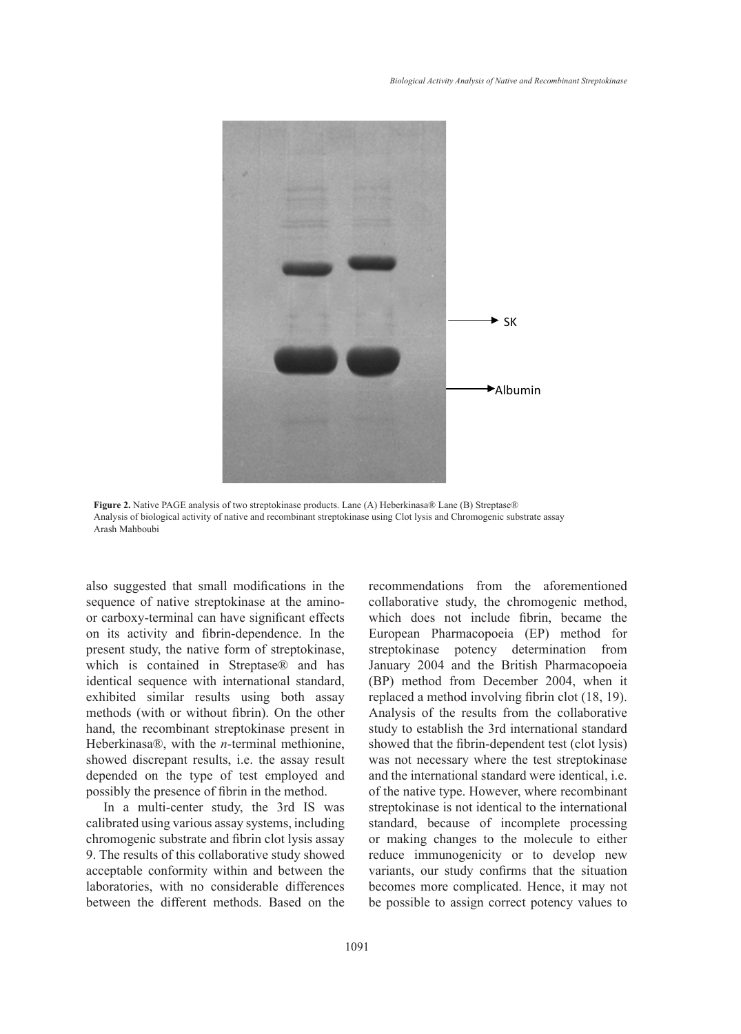

**Figure 2.** Native PAGE analysis of two streptokinase products. Lane (A) Heberkinasa® Lane (B) Streptase® Analysis of biological activity of native and recombinant streptokinase using Clot lysis and Chromogenic substrate assay Arash Mahboubi

also suggested that small modifications in the sequence of native streptokinase at the aminoor carboxy-terminal can have significant effects on its activity and fibrin-dependence. In the present study, the native form of streptokinase, which is contained in Streptase® and has identical sequence with international standard, exhibited similar results using both assay methods (with or without fibrin). On the other hand, the recombinant streptokinase present in Heberkinasa®, with the *n-*terminal methionine, showed discrepant results, i.e. the assay result depended on the type of test employed and possibly the presence of fibrin in the method.

In a multi-center study, the 3rd IS was calibrated using various assay systems, including chromogenic substrate and fibrin clot lysis assay 9. The results of this collaborative study showed acceptable conformity within and between the laboratories, with no considerable differences between the different methods. Based on the recommendations from the aforementioned collaborative study, the chromogenic method, which does not include fibrin, became the European Pharmacopoeia (EP) method for streptokinase potency determination from January 2004 and the British Pharmacopoeia (BP) method from December 2004, when it replaced a method involving fibrin clot (18, 19). Analysis of the results from the collaborative study to establish the 3rd international standard showed that the fibrin-dependent test (clot lysis) was not necessary where the test streptokinase and the international standard were identical, i.e. of the native type. However, where recombinant streptokinase is not identical to the international standard, because of incomplete processing or making changes to the molecule to either reduce immunogenicity or to develop new variants, our study confirms that the situation becomes more complicated. Hence, it may not be possible to assign correct potency values to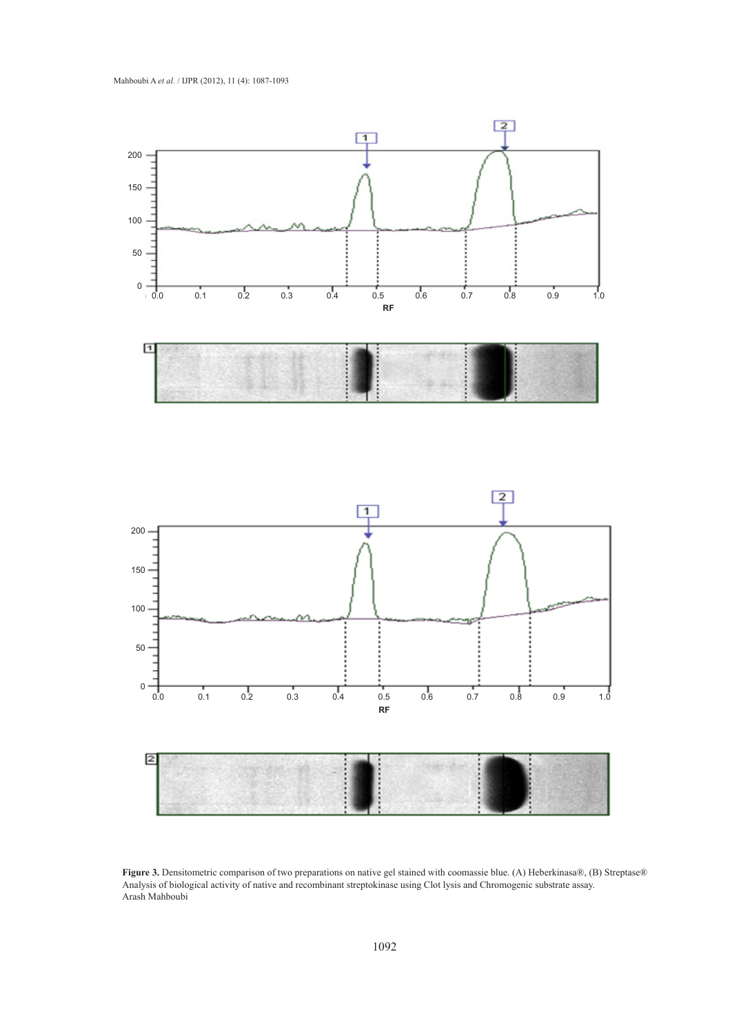

**Figure 3.** Densitometric comparison of two preparations on native gel stained with coomassie blue. (A) Heberkinasa®, (B) Streptase® Analysis of biological activity of native and recombinant streptokinase using Clot lysis and Chromogenic substrate assay. Arash Mahboubi